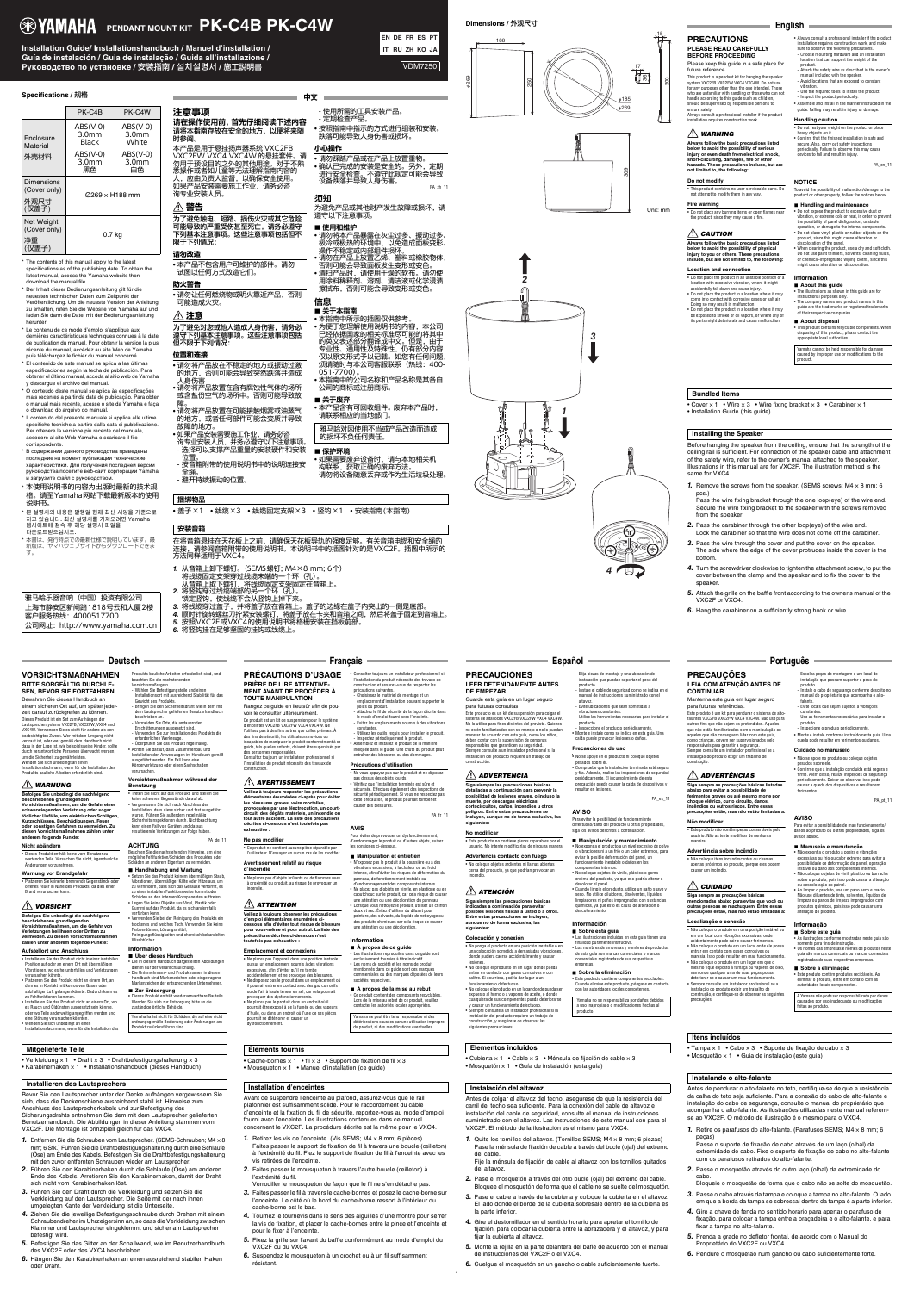1

# **Specifications /** 规格

\* The contents of this manual apply to the latest specifications as of the publishing date. To obtain the latest manual, access the Yamaha website then download the manual file.

\* Le contenu de ce mode d'emploi s'applique aux dernières caractéristiques techniques connues à la date de publication du manuel. Pour obtenir la version la plus récente du manuel, accédez au site Web de Yamaha puis téléchargez le fichier du manuel concerné

\* Der Inhalt dieser Bedienungsanleitung gilt für die neuesten technischen Daten zum Zeitpunkt der Veröffentlichung. Um die neueste Version der Anleitung zu erhalten, rufen Sie die Website von Yamaha auf und laden Sie dann die Datei mit der Bedienungsanleitung herunter.

- \* El contenido de este manual se aplica a las últimas especificaciones según la fecha de publicación. Para obtener el último manual, acceda al sitio web de Yamaha y descargue el archivo del manual.
- \* O conteúdo deste manual se aplica às especificações mais recentes a partir da data de publicação. Para obter o manual mais recente, acesse o site da Yamaha e faça o download do arquivo do manual.
- \* Il contenuto del presente manuale si applica alle ultime specifiche tecniche a partire dalla data di pubblicazione. Per ottenere la versione più recente del manuale, accedere al sito Web Yamaha e scaricare il file corrispondente.
- \* В содержании данного руководства приведены последние на момент публикации технические характеристики. Для получения последней версии руководства посетите веб-сайт корпорации Yamaha и загрузите файл с руководством.

\* 本使用说明书的内容为出版时最新的技术规 格。请至Yamaha网站下载最新版本的使用 说明书。

遵守以下注意事项。 ■ 使用和维护

- \* 본 설명서의 내용은 발행일 현재 최신 사양을 기준으로 하고 있습니다. 최신 설명서를 가져오려면 Yamaha 웹사이트에 접속 후 해당 설명서 파일을 다운로드받으십시오.
- \* 本書は、発行時点での最新仕様で説明しています。最 新版は、ヤマハウェブサイトからダウンロードできま す。

|                                             | PK-C4B                                   | PK-C4W                                   |
|---------------------------------------------|------------------------------------------|------------------------------------------|
| Enclosure<br>Material<br>外壳材料               | $ABS(V-0)$<br>3.0 <sub>mm</sub><br>Black | $ABS(V-0)$<br>3.0 <sub>mm</sub><br>White |
|                                             | $ABS(V-0)$<br>3.0 <sub>mm</sub><br>黑色    | $ABS(V-0)$<br>3.0 <sub>mm</sub><br>白色    |
| Dimensions<br>(Cover only)<br>外观尺寸<br>(仅盖子) | $\varnothing$ 269 $\times$ H188 mm       |                                          |
| Net Weight<br>(Cover only)<br>净重<br>(仅盖子)   | 0.7 kg                                   |                                          |

• 如果需要废弃设备时,请与本地相关机 构联系,获取正确的废弃方法。 请勿将设备随意丢弃或作为生活垃圾处理。

• Cover  $\times$  1 • Wire  $\times$  3 • Wire fixing bracket  $\times$  3 • Carabiner  $\times$  1 • Installation Guide (this guide)

雅马哈乐器音响(中国)投资有限公司 上海市静安区新闸路1818号云和大厦2楼 客户服务热线:4000517700 公司网址:http://www.yamaha.com.cn • 盖子×1 • 线缆×3 • 线缆固定支架×3 • 竖钩×1 • 安装指南(本指南)

在将音箱悬挂在天花板上之前,请确保天花板导轨的强度足够。有关音箱电缆和安全绳的 连接,请参阅音箱附带的使用说明书。本说明书中的插图针对的是VXC2F。插图中所示的 方法同样适用于VXC4。

**1.** Remove the screws from the speaker. (SEMS screws;  $M4 \times 8$  mm; 6 pcs.)

- *1.* 从音箱上卸下螺钉。(SEMS螺钉; M4×8 mm; 6个) 将线缆固定支架穿过线缆末端的一个环(孔)。 从音箱上取下螺钉,将线缆固定支架固定在音箱上。
- *2.* 将竖钩穿过线缆端部的另一个环(孔)。
	- 锁定竖钩,使线缆不会从竖钩上掉下来。
- *3.* 将线缆穿过盖子,并将盖子放在音箱上。盖子的边缘在盖子内突出的一侧是底部。
- *4.* 顺时针旋转螺丝刀拧紧安装螺钉,将盖子放在卡夹和音箱之间,然后将盖子固定到音箱上。
- 
- 
- 
- *5.* 按照VXC2F或VXC4的使用说明书将格栅安装在挡板前部。
- *6.* 将竖钩挂在足够坚固的挂钩或线缆上。

# 捆绑物品

# 安装音箱

中文

注意事项 请在操作使用前,首先仔细阅读下述内容

请将本指南存放在安全的地方,以便将来随 时参阅。 本产品是用于悬挂扬声器系统 VXC2FB VXC2FW VXC4 VXC4W 的悬挂套件。请 勿用于预设目的之外的其他用途。对于不熟 悉操作或者如儿童等无法理解指南内容的 人,应由负责人监督,以确保安全使用。 如果产品安装需要施工作业,请务必咨 询专业安装人员。

# 警告

为了避免触电、短路、损伤火灾或其它危险 可能导致的严重受伤甚至死亡,请务必遵守 下列基本注意事项。这些注意事项包括但不 限于下列情况:

# 请勿改造

• 本产品不包含用户可维护的部件。请勿 试图以任何方式改造它们。

防火警告

• 请勿让任何燃烧物或明火靠近产品,否则 可能造成火灾。

# 注意

为了避免对您或他人造成人身伤害,请务必 遵守下列基本注意事项。这些注意事项包括 但不限于下列情况:

# 位置和连接

- 请勿将产品放在不稳定的地方或振动过激 的地方,否则可能会导致突然跌落并造成 人身伤害
- 请勿将产品放置在含有腐蚀性气体的场所 或含盐份空气的场所中。否则可能导致故
- 障。 • 请勿将产品放置在可能接触烟雾或油蒸气 的地方,或者任何部件可能会变质并导致
- 故障的地方。 • 如果产品安装需要施工作业,请务必咨 询专业安装人员,并务必遵守以下注意事项。
- 选择可以支撑产品重量的安装硬件和安装
- 位置。 - 按音箱附带的使用说明书中的说明连接安 全绳。
- 避开持续振动的位置。

- 使用所需的工具安装产品。

- 定期检查产品。

• 按照指南中指示的方式进行组装和安装。 跌落可能导致人身伤害或损坏。

小心操作

• 请勿踩踏产品或在产品上放置重物。 • 确认已完成的安装是安全的。另外,定期 进行安全检查。不遵守此规定可能会导致

设备跌落并导致人身伤害。

PA\_zh\_11

须知

为避免产品或其他财产发生故障或损坏,请

• 请勿将本产品暴露在灰尘过多、振动过多、 极冷或极热的环境中,以免造成面板变形、

操作不稳定或内部组件损坏。

• 本指南中所示的插图仅供参考

• 请勿在产品上放置乙烯、塑料或橡胶物体, 否则可能会导致面板发生变形或变色。 •清扫产品时,请使用干燥的软布。请勿使 用涂料稀释剂、溶剂、清洁液或化学浸渍 擦拭布,否则可能会导致变形或变色。

信息

■ 关于本指南

- Attach the safety wire as described in the owner's manual included with the speaker Avoid locations that are exposed to constan

• 为便于您理解使用说明书的内容,本公司 已经依据国家的相关标准尽可能的将其中 的英文表述部分翻译成中文。但是,由于 专业性、通用性及特殊性,仍有部分内容 仅以原文形式予以记载。如您有任何问题, 烦请随时与本公司客服联系(热线:400-

051-7700)。

• 本指南中的公司名称和产品名称是其各自

公司的商标或注册商标。 ■ 关于废弃 • 本产品含有可回收组件。 废弃本产品时, 请联系相应的当地部门。 雅马哈对因使用不当或产品改造而造成

的损坏不负任何责任。

■ 保护环境

# **Dimensions /** 外观尺寸

269



309

200

15

Unit: mm







Before hanging the speaker from the ceiling, ensure that the strength of the ceiling rail is sufficient. For connection of the speaker cable and attachment of the safety wire, refer to the owner's manual attached to the speaker. Illustrations in this manual are for VXC2F. The illustration method is the same for VXC4.

Pass the wire fixing bracket through the one loop(eye) of the wire end. Secure the wire fixing bracket to the speaker with the screws removed from the speaker.

- *2.* Pass the carabiner through the other loop(eye) of the wire end. Lock the carabiner so that the wire does not come off the carabiner.
- *3.* Pass the wire through the cover and put the cover on the speaker. The side where the edge of the cover protrudes inside the cover is the bottom.
- *4.* Turn the screwdriver clockwise to tighten the attachment screw, to put the cover between the clamp and the speaker and to fix the cover to the speaker.
- *5.* Attach the grille on the baffle front according to the owner's manual of the VXC2F or VXC4.

# **Bundled Items**

### **Installing the Speaker**



# Please keep this guide in a safe place for future reference.

This product is a pendant kit for hanging the speaker system VXC2FB VXC2FW VXC4 VXC4W. Do not use for any purposes other than the one intended. Those who are unfamiliar with handling or those who can not handle according to this guide such as children, should be supervised by responsible persons to

ensure safety.

installation requires construction work.

*WARNING*

**Always follow the basic precautions listed below to avoid the possibility of serious injury or even death from electrical shock, short-circuiting, damages, fire or other hazards. These precautions include, but are not limited to, the following:**

**Do not modify**

# **Fire warning**

# *CAUTION*

es Rauch und Oldünsten ausgesetzt sein könnte,<br>oder wo Teile anderweitig angegriffen werden und eine Störung verursachen könnten. • Wenden Sie sich unbedingt an einen Installationsfachmann, wenn für die Installation des

### **Location and connection**

Always consult a professional installer if the product - Inspect the product periodically. • Assemble and install in the manner instructed in the guide. Falling may result in injury or damage.

• Do not place the product in an unstable position or a location with excessive vibration, where it might accidentally fall down and cause injury. • Do not place the product in a location where it may come into contact with corrosive gases or salt air. Doing so may result in malfunction. • Do not place the product in a location where it may be exposed to smoke or oil vapors, or where any of its parts might deteriorate and cause malfunction.

• This product contains no user-serviceable parts. Do not attempt to modify them in any way. To avoid the possibility of malfunction/damage to the product or other property, follow the notices below.

# Schäden an anderem Eigentum zu vermeiden. **Handhabung und Wartung<br>• Setzen Sie das Produkt keinem übermäßigen Staub**

• Always consult a professional installer if the product installation requires construction work, and make sure to observe the following precautions. - Choose mounting hardware and an installation location that can support the weight of the

• Do not place any burning items or open flames near the product, since they may cause a fire. • Do not expose the product to excessive dust or vibration, or extreme cold or heat, in order to prevent the possibility of panel disfiguration, unstable

product.

vibration.

- Use the required tools to install the product.

**Always follow the basic precautions listed below to avoid the possibility of physical injury to you or others. These precautions include, but are not limited to, the following:** operation, or damage to the internal components. • Do not place vinyl, plastic or rubber objects on the product, since this might cause alteration or discoloration of the panel. • When cleaning the product, use a dry and soft cloth. Do not use paint thinners, solvents, cleaning fluids, or chemical-impregnated wiping cloths, since this might cause alteration or discoloration.

# **Handling caution**

Wenden Sie sich zur Entsorgung bitte an die zuständige örtliche Behörde. Yamaha haftet nicht für Schäden, die auf eine nicht ordnungsgemäße Bedienung oder Änderungen am Produkt zurückzuführen sind.

• Do not rest your weight on the product or place heavy objects on it. • Confirm that the finished installation is safe and secure. Also, carry out safety inspections periodically. Failure to observe this may cause devices to fall and result in injury. PA\_en\_11

#### **NOTICE**

**Handling and maintenance**

**Information About this guide**

• The illustrations as shown in this guide are for

The company names and product names in this

instructional purposes only.

#### guide are the trademarks or registered trademarks of their respective companies.

 **About disposal** • This product contains recyclable components. When disposing of this product, please contact the appropriate local authorities.

Yamaha cannot be held responsible for damage caused by improper use or modifications to the product.

**Veillez à toujours observer les précautions d'emploi élémentaires énumérées cidessous afin d'éviter tout risque de blessure pour vous-même et pour autrui. La liste des précautions décrites ci-dessous n'est touthband exhaustive** :

Bevor Sie den Lautsprecher unter der Decke aufhängen vergewissern Sie sich, dass die Deckenschiene ausreichend stabil ist. Hinweise zum Anschluss des Lautsprecherkabels und zur Befestigung des Sicherungsdrahts entnehmen Sie dem mit dem Lautsprecher gelieferten Benutzerhandbuch. Die Abbildungen in dieser Anleitung stammen vom VXC2F. Die Montage ist prinzipiell gleich für das VXC4.

Pour éviter de provoquer un dysfonctionnement d'endommager le produit ou d'autres objets, suivez les consignes ci-dessous.

PA\_fr\_11

- *1.* Entfernen Sie die Schrauben vom Lautsprecher. (SEMS-Schrauben; M4 × 8 mm; 6 Stk.) Führen Sie die Drahtbefestigungshalterung durch eine Schlaufe (Öse) am Ende des Kabels. Befestigen Sie die Drahtbefestigungshalterung mit den zuvor entfernten Schrauben wieder am Lautsprecher.
- *2.* Führen Sie den Karabinerhaken durch die Schlaufe (Öse) am anderen Ende des Kabels. Arretieren Sie den Karabinerhaken, damit der Draht sich nicht vom Karabinerhaken löst.
- *3.* Führen Sie den Draht durch die Verkleidung und setzen Sie die Verkleidung auf den Lautsprecher. Die Seite mit der nach innen umgelegten Kante der Verkleidung ist die Unterseite.
- *4.* Ziehen Sie die jeweilige Befestigungsschraube durch Drehen mit einem Schraubendreher im Uhrzeigersinn an, so dass die Verkleidung zwischen Klammer und Lautsprecher eingeklemmt und sicher am Lautsprecher befestigt wird.
- *5.* Befestigen Sie das Gitter an der Schallwand, wie im Benutzerhandbuch des VXC2F oder des VXC4 beschrieben.
- *6.* Hängen Sie den Karabinerhaken an einen ausreichend stabilen Haken oder Draht.

sez pas le produit à la poussière ou à des vibrations excessives, à la chaleur ou au froid intense, afin d'éviter les risques de déformation du panneau, de fonctionnement instable ou d'endommagement des composants internes. • Ne placez pas d'objets en vinyle, en plastique ou en caoutchouc sur le produit, car cela risque de cause une altération ou une décoloration du panneau. • Lorsque vous nettoyez le produit, utilisez un chiffon doux et sec. Évitez d'utiliser du diluant pour peinture, des solvants, du liquide de nettoyage ou des produits chimiques car cela risque de causer une altération ou une décoloration.

Lors de la mise au rebut de ce produit, veuillez contacter les autorités locales appropriées. amaha ne peut être tenu responsable ni des

### **Mitgelieferte Teile**

• Verkleidung  $\times$  1 • Draht  $\times$  3 • Drahtbefestigungshalterung  $\times$  3 • Karabinerhaken  $\times$  1 • Installationshandbuch (dieses Handbuch)

### **Installieren des Lautsprechers**

# **Deutsch**

**VORSICHTSMAßNAHMEN BITTE SORGFÄLTIG DURCHLE-**

# **SEN, BEVOR SIE FORTFAHREN**

Bewahren Sie dieses Handbuch an einem sicheren Ort auf, um später jederzeit darauf zurückgreifen zu können. Dieses Produkt ist ein Set zum Aufhängen der Lautsprechersysteme VXC2FB, VXC2FW, VXC4 und VXC4W. Verwenden Sie es nicht für andere als den beabsichtigten Zweck. Wer mit dem Umgang nicht vertraut ist, oder wer gemäß dem Handbuch nicht dazu in der Lage ist, wie beispielsweise Kinder, sollte durch verantwortliche Personen überwacht werden, um die Sicherheit zu gewährleisten. Wenden Sie sich unbedingt an einen Installationsfachmann, wenn für die Installation des Produkts bauliche Arbeiten erforderlich sind.

# *WARNUNG*

**Befolgen Sie unbedingt die nachfolgend beschriebenen grundlegenden Vorsichtsmaßnahmen, um die Gefahr einer schwerwiegenden Verletzung oder sogar tödlicher Unfälle, von elektrischen Schlägen, Kurzschlüssen, Beschädigungen, Feuer oder sonstigen Gefahren zu vermeiden. Zu diesen Vorsichtsmaßnahmen zählen unter anderem folgende Punkte:**

#### **Nicht abändern**

#### **Warnung vor Brandgefahr**

# *VORSICHT*

**Befolgen Sie unbedingt die nachfolgend beschriebenen grundleg<br>Vorsichtsmaßnahmen Vorsichtsmaßnahmen, um die Gefahr von Verletzungen bei Ihnen oder Dritten zu**  vermeiden. Zu diesen Vorsichtsn **zählen unter anderem folgende Punkte:**

#### **Aufstellort und Anschluss**

• Installieren Sie das Produkt nicht in einer instabilen Position auf oder an einem Ort mit übermäßigen Vibrationen, wo es herunterfallen und Verletzungen verursachen könnte. • Platzieren Sie das Produkt nicht an einem Ort, an

# Elija piezas de montaje y una ubicación d instalación que puedan soportar el peso del

dem es in Kontakt mit korrosiven Gasen oder salzhaltiger Luft gelangen könnte. Dadurch kann es zu Fehlfunktionen kommen. • Installieren Sie das Produkt nicht an einem Ort, wo

• Dieses Produkt enthält keine vom Benutzer zu wartenden Teile. Versuchen Sie nicht, irgendwelche Änderungen vorzunehmen. Beachten Sie die nachstehenden Hinweise, um eine mögliche Fehlfunktion/Schäden des Produktes oder

• Platzieren Sie keinerlei brennende Gegenstände oder offenes Feuer in Nähe des Produkts, da dies einen Brand verursachen ka • Setzen Sie das Produkt keinem übermäßigen Staub, Vibrationen, übermäßiger Kälte oder Hitze aus, um

> **■ Sobre esta guía**<br>• Las ilustraciones incluidas en esta guía tienen una finalidad puramente instructiva. • Los nombres de empresas y nombres de productos de esta guía son marcas comerciales o marcas comerciales registradas de sus respectivas empresas.

erforderlichen Werkzeuge. - Überprüfen Sie das Produkt regelmäßig. • Achten Sie darauf, dass Zusammenbau und

> • Tampa  $\times$  1 • Cabo  $\times$  3 • Suporte de fixação de cabo  $\times$  3 • Mosquetão × 1 • Guia de instalação (este guia)

ausgeführt werden. Ein Fall kann eine Körperverletzung oder einen Sachschaden

verursachen.

**Vorsichtsmaßnahmen während der** 

**Benutzung**

• Treten Sie nicht auf das Produkt, und stellen Sie keine schweren Gegenstände darauf ab. • Vergewissern Sie sich nach Abschluss der Installation, dass diese sicher und fest ausgeführt wurde. Führen Sie außerdem regelmäßig Sicherheitsinspektionen durch. Nichtbeachtung kann einen Fall von Geräten und daraus resultierende Verletzungen zur Folge haben.

#### PA\_de\_11

**ACHTUNG**

Instale el cable de seguridad como se in manual de instrucciones suministrado con el **CONTINUAR** Mantenha este guia em lugar seguro

zu verhindern, dass sich das Gehäuse verformt, es zu einer instabilen Funktionsweise kommt oder chäden an den internen Komponenten auftreten. • Legen Sie keine Objekte aus Vinyl, Plastik oder Gummi auf das Produkt, da es sich andernfalls

verfärben kann.

**Wischtücher** 

• Verwenden Sie bei der Reinigung des Produkts ein trockenes und weiches Tuch. Verwenden Sie keine

Farbverdünner, Lösungsmittel,

Reinigungsflüssigkeiten und chemisch behandelten

#### **Information**

 **Über dieses Handbuch** • Die in diesem Handbuch dargestellten Abbildungen dienen nur der Veranschaulichung.<br>Die Unternehmens- und Produktnar • Die Unternehmens- und Produktnamen in diesem Handbuch sind Markenzeichen oder eingetragene Markenzeichen der entsprechenden Unternehmen. **Zur Entsorgung**

Produkts bauliche Arbeiten erforderlich sind, und beachten Sie die nachstehenden Vorsichtsmaßr 11en Sie Bete Installationsort mit ausreichend Stabilität für das Gewicht des Produkts. - Bringen Sie den Sicherheitsdraht wie in dem mit dem Lautsprecher gelieferten Benutzerhandbuch beschrieben an. - Vermeiden Sie Orte, die andauernden Erschütterungen ausgesetzt sind. **MENT AVANT DE PROCÉDER À TOUTE MANIPULATION** Rangez ce guide en lieu sûr afin de pouvoir le consulter ultérieurement. Ce produit est un kit de suspension pour le système d'enceintes VXC2FB VXC2FW VXC4 VXC4W. Ne

# • Dieses Produkt enthält wiederverwertbare Bauteile.

- Verwenden Sie zur Installation des Produkts die Installation den Anweisungen im Handbuch gemäß l'utilisez pas à des fins autres que celles prévues. À des fins de sécurité, les utilisateurs novices ou incapables de manipuler le produit conformément à ce guide, tels que les enfants, doivent être supervisés par des personnes responsables. Consultez toujours un installateur professionnel si l'installation du produit nécessite des travaux de construction.

> • Ao limpar o produto, use um pano seco e macio. Não use diluentes de tinta, solventes, líquidos de limpeza ou panos de limpeza impregnados com odutos químicos, pois isso pode causar uma

- Avant de suspendre l'enceinte au plafond, assurez-vous que le rail plafonnier est suffisamment solide. Pour le raccordement du câble d'enceinte et la fixation du fil de sécurité, reportez-vous au mode d'emploi fourni avec l'enceinte. Les illustrations contenues dans ce manuel concernent le VXC2F. La procédure décrite est la même pour le VXC4.
- *1.* Retirez les vis de l'enceinte. (Vis SEMS; M4 × 8 mm; 6 pièces) Faites passer le support de fixation de fil à travers une boucle (œilleton) à l'extrémité du fil. Fiez le support de fixation de fil à l'enceinte avec les vis retirées de l'enceinte.
- *2.* Faites passer le mousqueton à travers l'autre boucle (œilleton) à l'extrémité du fil.

• Este produto contém produtos recicláveis. Ao .<br>inar o produto, entre em contato com as

**IT RU ZH KO JA EN DE FR ES PT** 

# **EXPAMAHA PENDANT MOUNT KIT PK-C4B PK-C4W**

**Installation Guide/ Installationshandbuch / Manuel d'installation / Guía de instalación / Guia de instalação / Guida all'installazione /**  Pуководство по установке / 安装指南 / 설치설명서 / 施工説明書 VDM7250

Verrouiller le mousqueton de façon que le fil ne s'en détache pas.

*3.* Faites passer le fil à travers le cache-bornes et posez le cache-borne sur l'enceinte. Le côté où le bord du cache-borne ressort à l'intérieur du cache-borne est le bas.

*4.* Tournez le tournevis dans le sens des aiguilles d'une montre pour serrer

- la vis de fixation, et placer le cache-bornes entre la pince et l'enceinte et pour le fixer à l'enceinte. *5.* Fixez la grille sur l'avant du baffle conformément au mode d'emploi du
- VXC2F ou du VXC4.
- *6.* Suspendez le mousqueton à un crochet ou à un fil suffisamment résistant.

**Éléments fournis**

• Cache-bornes  $\times$  1 • fil  $\times$  3 • Support de fixation de fil  $\times$  3 • Mousqueton  $\times$  1 • Manuel d'installation (ce guide)

#### **Installation d'enceintes**

**PRIÈRE DE LIRE ATTENTIVE-**

# *AVERTISSEMENT*

**Ne pas modifier**

• Ce produit ne contient aucune pièce réparable par l'utilisateur. N'essayez en aucun cas de les modifier. **Avertissement relatif au risque** 

- **Français PRÉCAUTIONS D'USAGE** • Consultez toujours un installateur professionnel si l'installation du produit nécessite des travaux de
	- construction et assurez-vous de respecter les précautions suivantes. - Choisissez le matériel de montage et un

**d'incendie** • Ne placez pas d'objets brûlants ou de flammes nues à proximité du produit, au risque de provoquer un incendie.

# $\sqrt{!}$  Attention

**Emplacement et connexions** • Ne placez pas l'appareil dans une position instable ou sur un emplacement soumis à des vibrations excessives, afin d'éviter qu'il ne tombe accidentellement et ne provoque des blessures. • Ne disposez pas le produit dans un emplacement où il pourrait entrer en contact avec des gaz corrosifs ou de l'air à haute teneur en sel, car cela pourrait provoquer des dysfonctionnements. • Ne placez pas le produit dans un endroit où il pourrait être exposé à de la fumée ou des vapeurs d'huile, ou dans un endroit où l'une de ses pièces pourrait se détériorer et causer un dysfonctionnement.

**Veillez à toujours respecter les précautions élémentaires énumérées ci-après pour éviter les blessures graves, voire mortelles, provoquées par une électrocution, un courtcircuit, des dégâts matériels, un incendie ou tout autre accident. La liste des précautions décrites ci-dessous n'est toutefois pas exhaustive : AVIS**

emplacement d'installation pouvant supporter le

poids du produit.

- Attachez le fil de sécurité de la façon décrite dans le mode d'emploi fourni avec l'enceinte. - Évitez les emplacements soumis à des vibrations

constantes.

- Utilisez les outils requis pour installer le produit. - Inspectez périodiquement le produit. • Assemblez et installez le produit de la manière indiquée dans le guide. Une chute du produit peut entraîner des blessures ou des dommages.

**Précautions d'utilisation**

• Ne vous appuyez pas sur le produit et ne déposez

#### ■ Manipulation et entretien

pas dessus des objets lourds. • Vérifiez que l'installation terminée est sûre et sécurisée. Effectuez également des inspections de sécurité périodiquement. Si vous ne respectez pas cette précaution, le produit pourrait tomber et

causer des blessures.

### **Information**

 **À propos de ce guide** • Les illustrations reproduites dans ce guide sont exclusivement fournies à titre indicatif. • Les noms de société et les noms de produit mentionnés dans ce guide sont des marques es marques déposées de leurs sociétés respectives.

 **A propos de la mise au rebut** • Ce produit contient des composants recyclables.

> Antes de colgar el altavoz del techo, asegúrese de que la resistencia del carril del techo sea suficiente. Para la conexión del cable de altavoz e instalación del cable de seguridad, consulte el manual de instrucciones suministrado con el altavoz. Las instrucciones de este manual son para el VXC2F. El método de la ilustración es el mismo para VXC4.

*1.* Quite los tornillos del altavoz. (Tornillos SEMS; M4 × 8 mm; 6 piezas)

- Pase la ménsula de fijación de cable a través del bucle (ojal) del extremo del cable. Fije la ménsula de fijación de cable al altavoz con los tornillos quitados
- del altavoz.
- *2.* Pase el mosquetón a través del otro bucle (ojal) del extremo del cable.
- *3.* Pase el cable a través de la cubierta y coloque la cubierta en el altavoz. la parte inferior.
- *4.* Gire el destornillador en el sentido horario para apretar el tornillo de fijar la cubierta al altavoz.
- *5.* Monte la rejilla en la parte delantera del bafle de acuerdo con el manual de instrucciones del VXC2F o el VXC4.
- *6.* Cuelgue el mosquetón en un gancho o cable suficientemente fuerte.
- Bloquee el mosquetón de forma que el cable no se suelte del mosquetón.
- El lado donde el borde de la cubierta sobresale dentro de la cubierta es
- fijación, para colocar la cubierta entre la abrazadera y el altavoz, y para
- 
- 

#### **Elementos incluidos**

• Cubierta  $\times$  1 • Cable  $\times$  3 • Ménsula de fijación de cable  $\times$  3 • Mosquetón  $\times$  1 • Guía de instalación (esta guía)

# **Instalación del altavoz**

# **Español**

**PRECAUCIONES**

**LEER DETENIDAMENTE ANTES** 

**DE EMPEZAR** Guarde esta guía en un lugar seguro

détériorations causées par une utilisation impropre du produit, ni des modifications éventuelles. • Siempre consulte a un instalador profesional si la instalación del producto requiere un trabajo de construcción, y asegúrese de observar las siguientes precauciones.

para futuras consultas. Este producto es un kit de suspensión para colgar el sistema de altavoces VXC2FB VXC2FW VXC4 VXC4W. No lo utilice para fines distintos del previsto. Quienes no estén familiarizados con su manejo o no lo puedan manejar de acuerdo con esta guía, como los niños, deben contar con la supervisión de personas responsables que garanticen su seguridad. Siempre consulte a un instalador profesional si la instalación del producto requiere un trabajo de

construcción.

*ADVERTENCIA* **Siga siempre las precauciones básicas detalladas a continuación para prevenir la posibilidad de lesiones graves, o incluso la muerte, por descargas eléctricas, cortocircuitos, daños, incendios u otros peligros. Entre estas precauciones se incluyen, aunque no de forma exclusiva, las siguientes:**

#### **No modificar**

• Este producto no contiene piezas reparables por el usuario.<br>No intente modificarlas de ninguna m **Advertencia contacto con fuego** • No coloque objetos ardientes ni llamas abiertas cerca del producto, ya que podrían provocar un

incendio.

*ATENCIÓN*

**Siga siempre las precauciones básicas indicadas a continuación para evitar posibles lesiones físicas a usted o a otros. Entre estas precauciones se incluven aunque no de forma exclusiva, las** 

**siguientes:**

**Colocación y conexión**

• No ponga el producto en una posición inestable o en una colocación sometida a demasiadas vibraciones, donde pudiera caerse accidentalmente y causar

lesiones.

• No coloque el producto en un lugar donde pueda entrar en contacto con gases corrosivos o con salitre. Si ocurriera, podría dar lugar a un

funcionamiento defectuoso.

• No coloque el producto en un lugar donde pueda ser expuesto al humo o a vapores de aceite, o donde cualquiera de sus componentes pueda deteriorarse y causar un funcionamiento defectuoso. producto.

altavoz.

vibraciones constantes.

producto.

• Monte e instale como se indica en esta guía. Una caída puede provocar lesiones o daños.

### **Precauciones de uso** • No se apoye en el producto ni coloque objetos

pesados sobre él. • Compruebe que la instalación terminada esté segura y fija. Además, realice las inspecciones de seguridad periódicamente. El incumplimiento de esta precaución puede causar la caída de dispositivos y resultar en lesiones. PA\_es\_11 **AVISO** Para evitar la posibilidad de funcionamiento defectuoso/daño del producto u otras propiedades, siga los avisos descritos a continuació **Manipulación y mantenimiento** • No exponga el producto a un nivel excesivo de polvo o vibraciones ni a un frío o un calor extremos, para evitar la posible deformación del panel, un funcionamiento inestable o daños en los componentes internos. • No coloque objetos de vinilo, plástico o goma encima del producto, ya que eso podría alterar o decolorar el panel. • Cuando limpie el producto, utilice un paño suave y

seco. No utilice diluidores, disolventes, líquidos limpiadores ni paños impregnados con sustancias químicas, ya que esto es causa de alteración o descoloramiento.

# **Información**

 **Sobre la eliminación** • Este producto contiene componentes reciclables. ndo elimine este producto, póngase en contacto con las autoridades locales competentes.

Yamaha no se responsabiliza por daños debidos a uso inapropiado o modificaciones hechas al producto.

- Evite ubicaciones que sean sometidas a - Utilice las herramientas necesarias para instalar el - Inspeccione el producto periódicamente. para futuras referências. Este produto é um kit para pendurar o sistema de alto-falantes VXC2FB VXC2FW VXC4 VXC4W. Não use para outros fins que não sejam os pretendidos. Aqueles que não estão familiarizados com a manipulação ou aqueles que não conseguem lidar com este guia,

> Antes de pendurar o alto-falante no teto, certifique-se de que a resistência da calha do teto seja suficiente. Para a conexão do cabo de alto-falante e instalação do cabo de segurança, consulte o manual do proprietário que acompanha o alto-falante. As ilustrações utilizadas neste manual referem-

se ao VXC2F. O método de ilustração é o mesmo para o VXC4.

*1.* Retire os parafusos do alto-falante. (Parafusos SEMS; M4 × 8 mm; 6

peças)

Passe o suporte de fixação de cabo através de um laço (olhal) da extremidade do cabo. Fixe o suporte de fixação de cabo no alto-falante

com os parafusos retirados do alto-falante.

*2.* Passe o mosquetão através do outro laço (olhal) da extremidade do

cabo.

Bloqueie o mosquetão de forma que o cabo não se solte do mosquetão. *3.* Passe o cabo através da tampa e coloque a tampa no alto-falante. O lado em que a borda da tampa se sobressai dentro da tampa é a parte inferior. *4.* Gire a chave de fenda no sentido horário para apertar o parafuso de fixação, para colocar a tampa entre a braçadeira e o alto-falante, e para

fixar a tampa no alto-falante.

*5.* Prenda a grade no defletor frontal, de acordo com o Manual do

Proprietário do VXC2F ou VXC4.

*6.* Pendure o mosquetão num gancho ou cabo suficientemente forte.

**Itens incluídos**

**Instalando o alto-falante**

**Português**

# **PRECAUÇÕES LEIA COM ATENÇÃO ANTES DE**

como crianças, devem ser supervisionados pelo responsáveis para garantir a segurança. Sempre consulte um instalador profissional se a instalação do produto exigir um trabalho de

construção.

*ADVERTÊNCIAS*

**Siga sempre as precauções básicas listadas abaixo para evitar a possibilidade de ferimentos graves ou até mesmo morte por** 

**choque elétrico, curto circuito, danos, incêndios ou outros riscos. Entre essas precauções estão, mas não estão limitadas a:**

**Não modificar**

• Este produto não contém peças consertáveis pelo usuário. Não as tente modificar de nenhuma

maneira.

**Advertência sobre incêndio** • Não coloque itens incandescentes ou chamas abertas próximos ao produto, porque eles podem

causar um incêndio.

*CUIDADO*

**Siga sempre as precauções básicas mencionadas abaixo para evitar que você ou outras pessoas se machuquem. Entre essas precauções estão, mas não estão limitadas a:**

**Localização e conexão**

• Não coloque o produto em uma posição instável ou em um local com vibrações excessivas, onde acidentalmente pode cair e causar ferimento • Não coloque o produto em um local onde ele possa entrar em contato com gases corrosivos ou maresia. Isso pode resultar em mau funcionamento. • Não coloque o produto em um lugar em que o mesmo fique exposto à fumaça ou vapores de óleo, nem onde qualquer uma de suas peças possa deteriorar-se e causar um mau funcionamento. • Sempre consulte um instalador profissional se a instalação do produto exigir um trabalho de construção, e certifique-se de observar as seguintes

precauções.

- Escolha peças de montagem e um local de instalação que possam suportar o peso do produto. manual do proprietário que acompanha o alto-

falante.

- Evite locais que sejam sujeitos a vibrações constantes. - Use as ferramentas necessárias para instalar o produto. - Inspecione o produto periodicamente.

• Monte e instale conforme instruído nesta guia. Uma queda pode resultar em ferimentos ou danos.

- Instale o cabo de segurança co

# **Cuidado no manuseio**

• Não se apoie no produto ou coloque objetos pesados sobre ele. • Confirme que a instalação concluída está segura e firme. Além disso, realize inspeções de segurança periodicamente. Deixar de observar isso pode causar a queda dos dispositivos e resultar em ferimentos.

PA\_pt\_11

**AVISO**

Para evitar a possibilidade de mau funcionamento/ danos ao produto ou outras propriedades, siga os

avisos abaixo.

**6.** Hang the carabiner on a sufficiently strong hook or wire.

 **Manuseio e manutenção** • Não exponha o produto a poeira e vibrações excessivas ou frio ou calor extremo para evitar a possibilidade de deformação do painel, operação instável ou dano aos componentes internos. • Não coloque objetos de vinil, plástico ou borracha sobre o produto, pois isso pode causar a alteração

ou descoloração do painel.

alteração do produto. **Informação Sobre este guia**

• As ilustrações conforme mostradas neste guia são somente para fins de instrução. • Os nomes das empresas e nomes de produtos neste guia são marcas comerciais ou marcas comerciais registradas de suas respectivas empresas.

**Sobre a eliminação**

autoridades locais componentes.

A Yamaha não pode ser responsabilizada por danos causados por uso inadequado ou modificações

feitas ao produto.